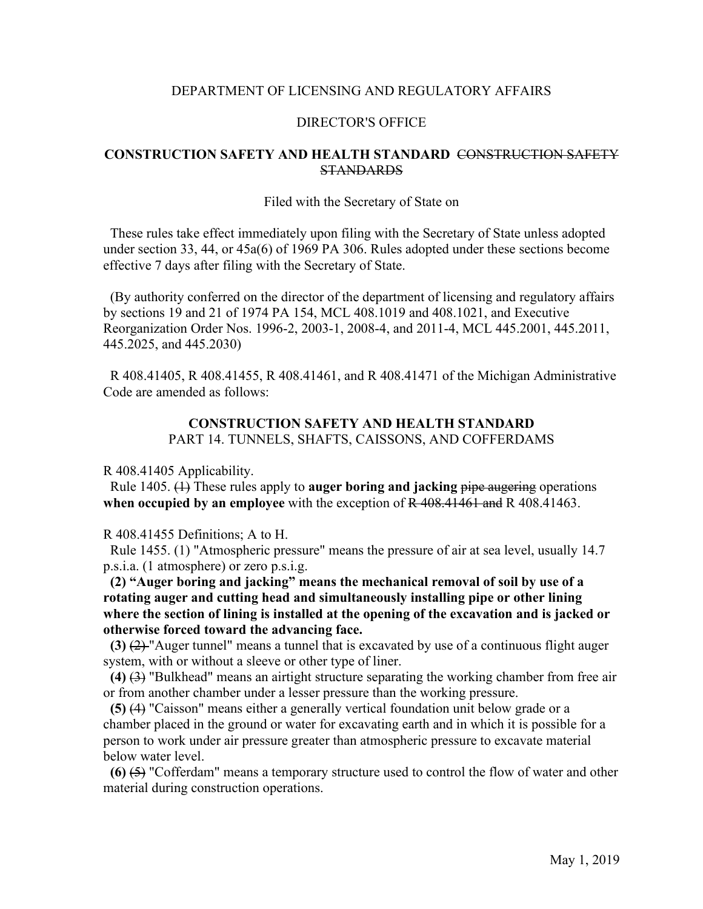## DEPARTMENT OF LICENSING AND REGULATORY AFFAIRS

### DIRECTOR'S OFFICE

## **CONSTRUCTION SAFETY AND HEALTH STANDARD** CONSTRUCTION SAFETY STANDARDS

#### Filed with the Secretary of State on

 These rules take effect immediately upon filing with the Secretary of State unless adopted under section 33, 44, or 45a(6) of 1969 PA 306. Rules adopted under these sections become effective 7 days after filing with the Secretary of State.

 (By authority conferred on the director of the department of licensing and regulatory affairs by sections 19 and 21 of 1974 PA 154, MCL 408.1019 and 408.1021, and Executive Reorganization Order Nos. 1996-2, 2003-1, 2008-4, and 2011-4, MCL 445.2001, 445.2011, 445.2025, and 445.2030)

 R 408.41405, R 408.41455, R 408.41461, and R 408.41471 of the Michigan Administrative Code are amended as follows:

# **CONSTRUCTION SAFETY AND HEALTH STANDARD** PART 14. TUNNELS, SHAFTS, CAISSONS, AND COFFERDAMS

R 408.41405 Applicability.

 Rule 1405. (1) These rules apply to **auger boring and jacking** pipe augering operations **when occupied by an employee** with the exception of R 408.41461 and R 408.41463.

R 408.41455 Definitions; A to H.

 Rule 1455. (1) "Atmospheric pressure" means the pressure of air at sea level, usually 14.7 p.s.i.a. (1 atmosphere) or zero p.s.i.g.

**(2) "Auger boring and jacking" means the mechanical removal of soil by use of a rotating auger and cutting head and simultaneously installing pipe or other lining where the section of lining is installed at the opening of the excavation and is jacked or otherwise forced toward the advancing face.**

 **(3)** (2) "Auger tunnel" means a tunnel that is excavated by use of a continuous flight auger system, with or without a sleeve or other type of liner.

 **(4)** (3) "Bulkhead" means an airtight structure separating the working chamber from free air or from another chamber under a lesser pressure than the working pressure.

 **(5)** (4) "Caisson" means either a generally vertical foundation unit below grade or a chamber placed in the ground or water for excavating earth and in which it is possible for a person to work under air pressure greater than atmospheric pressure to excavate material below water level.

 **(6)** (5) "Cofferdam" means a temporary structure used to control the flow of water and other material during construction operations.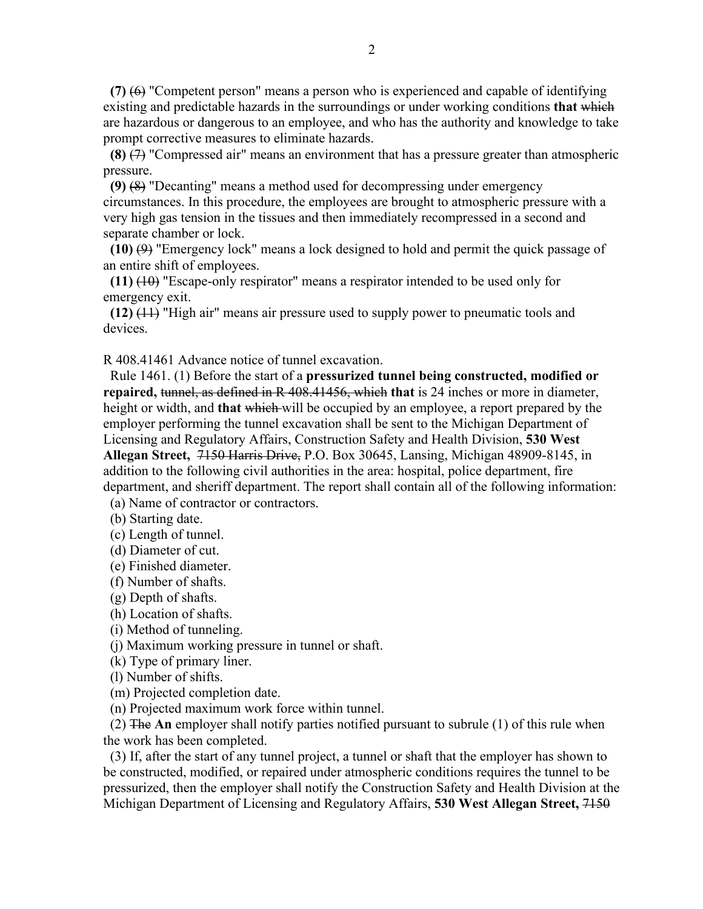$(7)$   $(6)$  "Competent person" means a person who is experienced and capable of identifying existing and predictable hazards in the surroundings or under working conditions **that** which are hazardous or dangerous to an employee, and who has the authority and knowledge to take prompt corrective measures to eliminate hazards.

 **(8)** (7) "Compressed air" means an environment that has a pressure greater than atmospheric pressure.

 **(9)** (8) "Decanting" means a method used for decompressing under emergency circumstances. In this procedure, the employees are brought to atmospheric pressure with a very high gas tension in the tissues and then immediately recompressed in a second and separate chamber or lock.

 **(10)** (9) "Emergency lock" means a lock designed to hold and permit the quick passage of an entire shift of employees.

 **(11)** (10) "Escape-only respirator" means a respirator intended to be used only for emergency exit.

 **(12)** (11) "High air" means air pressure used to supply power to pneumatic tools and devices.

R 408.41461 Advance notice of tunnel excavation.

 Rule 1461. (1) Before the start of a **pressurized tunnel being constructed, modified or repaired,** tunnel, as defined in R 408.41456, which **that** is 24 inches or more in diameter, height or width, and **that** which will be occupied by an employee, a report prepared by the employer performing the tunnel excavation shall be sent to the Michigan Department of Licensing and Regulatory Affairs, Construction Safety and Health Division, **530 West Allegan Street,** 7150 Harris Drive, P.O. Box 30645, Lansing, Michigan 48909-8145, in addition to the following civil authorities in the area: hospital, police department, fire department, and sheriff department. The report shall contain all of the following information:

(a) Name of contractor or contractors.

(b) Starting date.

(c) Length of tunnel.

(d) Diameter of cut.

(e) Finished diameter.

(f) Number of shafts.

(g) Depth of shafts.

(h) Location of shafts.

(i) Method of tunneling.

(j) Maximum working pressure in tunnel or shaft.

(k) Type of primary liner.

(l) Number of shifts.

(m) Projected completion date.

(n) Projected maximum work force within tunnel.

 (2) The **An** employer shall notify parties notified pursuant to subrule (1) of this rule when the work has been completed.

 (3) If, after the start of any tunnel project, a tunnel or shaft that the employer has shown to be constructed, modified, or repaired under atmospheric conditions requires the tunnel to be pressurized, then the employer shall notify the Construction Safety and Health Division at the Michigan Department of Licensing and Regulatory Affairs, **530 West Allegan Street,** 7150